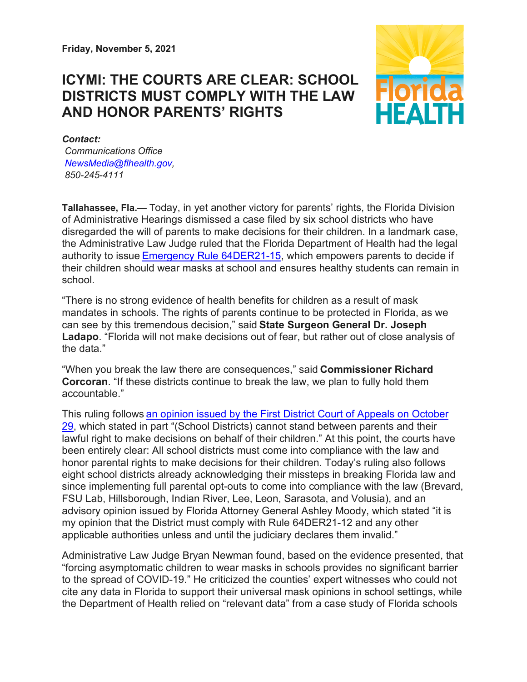**Friday, November 5, 2021**

## **ICYMI: THE COURTS ARE CLEAR: SCHOOL DISTRICTS MUST COMPLY WITH THE LAW AND HONOR PARENTS' RIGHTS**



*Contact: Communications Office [NewsMedia@flhealth.gov,](mailto:NewsMedia@flhealth.gov) 850-245-4111*

**Tallahassee, Fla.**— Today, in yet another victory for parents' rights, the Florida Division of Administrative Hearings dismissed a case filed by six school districts who have disregarded the will of parents to make decisions for their children. In a landmark case, the Administrative Law Judge ruled that the Florida Department of Health had the legal authority to issue [Emergency Rule 64DER21-15,](https://t.e2ma.net/click/svetah/kdr0vse/ooikv8) which empowers parents to decide if their children should wear masks at school and ensures healthy students can remain in school.

"There is no strong evidence of health benefits for children as a result of mask mandates in schools. The rights of parents continue to be protected in Florida, as we can see by this tremendous decision," said **State Surgeon General Dr. Joseph Ladapo**. "Florida will not make decisions out of fear, but rather out of close analysis of the data."

"When you break the law there are consequences," said **Commissioner Richard Corcoran**. "If these districts continue to break the law, we plan to fully hold them accountable."

This ruling follows [an opinion issued by the First District Court of Appeals on October](https://t.e2ma.net/click/svetah/kdr0vse/4gjkv8)  [29,](https://t.e2ma.net/click/svetah/kdr0vse/4gjkv8) which stated in part "(School Districts) cannot stand between parents and their lawful right to make decisions on behalf of their children." At this point, the courts have been entirely clear: All school districts must come into compliance with the law and honor parental rights to make decisions for their children. Today's ruling also follows eight school districts already acknowledging their missteps in breaking Florida law and since implementing full parental opt-outs to come into compliance with the law (Brevard, FSU Lab, Hillsborough, Indian River, Lee, Leon, Sarasota, and Volusia), and an advisory opinion issued by Florida Attorney General Ashley Moody, which stated "it is my opinion that the District must comply with Rule 64DER21-12 and any other applicable authorities unless and until the judiciary declares them invalid."

Administrative Law Judge Bryan Newman found, based on the evidence presented, that "forcing asymptomatic children to wear masks in schools provides no significant barrier to the spread of COVID-19." He criticized the counties' expert witnesses who could not cite any data in Florida to support their universal mask opinions in school settings, while the Department of Health relied on "relevant data" from a case study of Florida schools